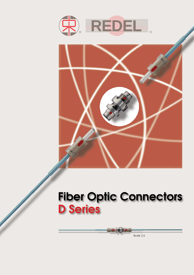



# **Fiber Optic Connectors D** Series

Scale 1:1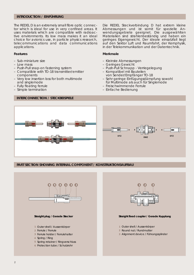# **INTRODUCTION / EINFÜHRUNG**

The REDEL D is an extremely small fibre optic connector which is ideal for use in very confined areas. It uses materials which are compatible with radioactive environments. Its low mass makes it an ideal choice for avionics use, in particle physics research, telecommunications and data communications applications.

## **Features**

- Sub-miniature size
- Low mass
- Push-Pull snap-on fastening system
- Compatible with TO-18 transmitter/emitter components
- Very low insertion loss for both multimode and singlemode
- Fully floating ferrule
- Simple termination

# **INTERCONNECTION / STECKBEISPIELE**

Die REDEL Steckverbindung D hat extrem kleine Abmessungen und ist somit für spezielle Anwendungsgebiete geeignet. Die ausgewählten Materialien sind strahlenbeständig und haben ein geringes Eigengewicht. Der ideale einsatzfall liegt auf den Sektor Luft und Raumfahrt, der Kernphysik, in der Telekommunikation und der Datentechnik.

## **Merkmale**

- Kleinste Abmessungen
- Geringes Gewicht
- Push-Pull Schnapp Verriegelegung
- Kompatibel mit Bauteilen von Sender/Empfänger TO-18
- Sehr geringe Einfügungsdämpfung sowohl für Multimode als auch für Singlemode
- Freischwimmende Ferrule
- Einfache Bedienung



## **PART SECTION SHOWING INTERNAL COMPONENT / KONSTRUKTIONSAUFBAU**



## **Straight plug / Gerade Stecker**

- Outer shell / Aussenkörper **1**
- Ferrule / Ferrule **2**
- Ferrule holder / Ferrulehalter **3**
- Spring / Ring **4**
- Spring retainer / Ringverschluss **5**
- Protection tube / Schutzrohr **6**



## **Straight fixed coupler / Gerade Kupplung**

- Outer shell / Aussenkörper **1**
- Round nut / Rundmutter **2**
- Alignment device / Führungszylinder **3**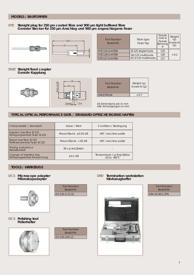# **MODELS / BAUFORMEN**

#### **Straight plug for 250 µm coated fibre and 900 µm tight buffered fibre Gerader Stecker für 250 µm Anschlag und 900 µm angeschlagene Faser DTZ**



| Part Number<br>Bestell-Nr. | Fibre type<br>Faser-Typ                | Ferrule<br>hole $\varnothing$<br>Ferrule<br>Bohrung | Weight<br>Gewicht |
|----------------------------|----------------------------------------|-----------------------------------------------------|-------------------|
| DTZ.125.GAET06             | 9/125 singlemode                       | 125                                                 |                   |
| DT7.126.GAET06             | 50/125 multimode<br>62.5/125 multimode | 126                                                 | < 0.2             |
| DTZ.127.GAET06             |                                        | 127                                                 |                   |

#### **Straight fixed coupler Gerade Kupplung DWZ**



| Part Number | Weight (g)  |
|-------------|-------------|
| Bestell-Nr. | Gewicht (g) |
| DWZ F99.SA  | < 0.7       |

All dimensions are in mm Alle Abmessungen in mm

# **TYPICAL OPTICAL PERFORMANCE DATA / STANDARD OPTISCHE EIGENSCHAFTEN**

| <b>Characteristic / Kennwert</b>                            | Value / Wert               | Condition / Bedingung                                  |  |
|-------------------------------------------------------------|----------------------------|--------------------------------------------------------|--|
| Insertion loss fibre 9/125<br>Einfügungsverlust Faser 9/125 | Mean/Stand, $\leq$ 0.25 dB | UPC machine polish                                     |  |
| Return loss fibre 9/125<br>Reflexionsverlust Faser 9/125    | Mean/Stand. $>$ 45 dB      | UPC machine polish                                     |  |
| Mating endurance<br><b>Belastbarkeit</b>                    | 30 cycles/Zyklen           |                                                        |  |
| Change of insertion loss<br>Einfügungsverlust Abweichung    | $\leq$ 0.1 dB              | Temperature cycling/Zyklus<br>$-20$ to $+80^{\circ}$ C |  |

# **TOOLS / WERKZEUGE**

## **Microscope adapter Mikroskopadapter**



#### **DCS** Microscope adapter **Termination workstation Werkzeugkoffer DRV**



| Part Number           |  |
|-----------------------|--|
| Bestell-Nr.           |  |
| <b>DRV 91 RD1 2PN</b> |  |